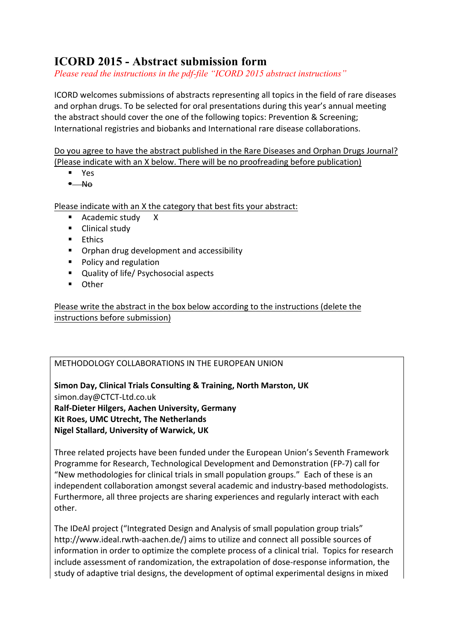## **ICORD 2015 - Abstract submission form**

*Please read the instructions in the pdf-file "ICORD 2015 abstract instructions"*

ICORD welcomes submissions of abstracts representing all topics in the field of rare diseases and orphan drugs. To be selected for oral presentations during this year's annual meeting the abstract should cover the one of the following topics: Prevention & Screening; International registries and biobanks and International rare disease collaborations.

Do you agree to have the abstract published in the Rare Diseases and Orphan Drugs Journal? (Please indicate with an X below. There will be no proofreading before publication)

- § Yes
- $\neg$ No

Please indicate with an X the category that best fits your abstract:

- Academic study X
- Clinical study
- Ethics
- Orphan drug development and accessibility
- Policy and regulation
- Quality of life/ Psychosocial aspects
- Other

Please write the abstract in the box below according to the instructions (delete the instructions before submission)

## METHODOLOGY COLLABORATIONS IN THE EUROPEAN UNION

**Simon Day, Clinical Trials Consulting & Training, North Marston, UK** simon.day@CTCT-Ltd.co.uk **Ralf-Dieter Hilgers, Aachen University, Germany Kit Roes, UMC Utrecht, The Netherlands Nigel Stallard, University of Warwick, UK** 

Three related projects have been funded under the European Union's Seventh Framework Programme for Research, Technological Development and Demonstration (FP-7) call for "New methodologies for clinical trials in small population groups." Each of these is an independent collaboration amongst several academic and industry-based methodologists. Furthermore, all three projects are sharing experiences and regularly interact with each other.

The IDeAl project ("Integrated Design and Analysis of small population group trials" http://www.ideal.rwth-aachen.de/) aims to utilize and connect all possible sources of information in order to optimize the complete process of a clinical trial. Topics for research include assessment of randomization, the extrapolation of dose-response information, the study of adaptive trial designs, the development of optimal experimental designs in mixed